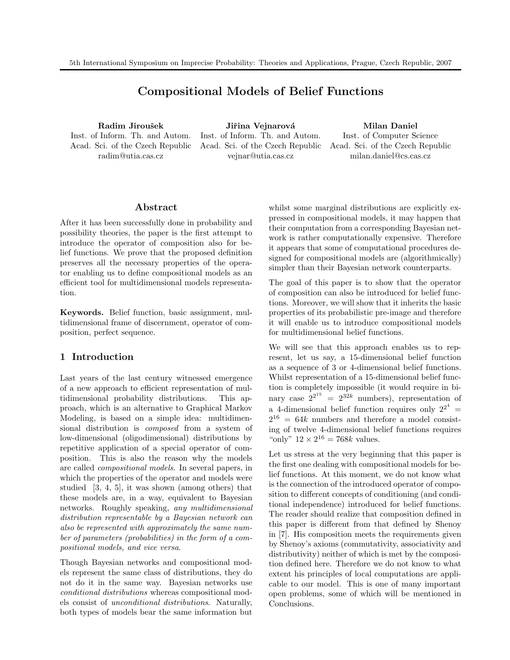# Compositional Models of Belief Functions

Radim Jiroušek Inst. of Inform. Th. and Autom. Acad. Sci. of the Czech Republic radim@utia.cas.cz

Jiřina Vejnarová Inst. of Inform. Th. and Autom. Acad. Sci. of the Czech Republic vejnar@utia.cas.cz

Milan Daniel Inst. of Computer Science Acad. Sci. of the Czech Republic

milan.daniel@cs.cas.cz

## Abstract

After it has been successfully done in probability and possibility theories, the paper is the first attempt to introduce the operator of composition also for belief functions. We prove that the proposed definition preserves all the necessary properties of the operator enabling us to define compositional models as an efficient tool for multidimensional models representation.

Keywords. Belief function, basic assignment, multidimensional frame of discernment, operator of composition, perfect sequence.

# 1 Introduction

Last years of the last century witnessed emergence of a new approach to efficient representation of multidimensional probability distributions. This approach, which is an alternative to Graphical Markov Modeling, is based on a simple idea: multidimensional distribution is composed from a system of low-dimensional (oligodimensional) distributions by repetitive application of a special operator of composition. This is also the reason why the models are called compositional models. In several papers, in which the properties of the operator and models were studied [3, 4, 5], it was shown (among others) that these models are, in a way, equivalent to Bayesian networks. Roughly speaking, any multidimensional distribution representable by a Bayesian network can also be represented with approximately the same number of parameters (probabilities) in the form of a compositional models, and vice versa.

Though Bayesian networks and compositional models represent the same class of distributions, they do not do it in the same way. Bayesian networks use conditional distributions whereas compositional models consist of unconditional distributions. Naturally, both types of models bear the same information but whilst some marginal distributions are explicitly expressed in compositional models, it may happen that their computation from a corresponding Bayesian network is rather computationally expensive. Therefore it appears that some of computational procedures designed for compositional models are (algorithmically) simpler than their Bayesian network counterparts.

The goal of this paper is to show that the operator of composition can also be introduced for belief functions. Moreover, we will show that it inherits the basic properties of its probabilistic pre-image and therefore it will enable us to introduce compositional models for multidimensional belief functions.

We will see that this approach enables us to represent, let us say, a 15-dimensional belief function as a sequence of 3 or 4-dimensional belief functions. Whilst representation of a 15-dimensional belief function is completely impossible (it would require in binary case  $2^{2^{15}} = 2^{32k}$  numbers), representation of a 4-dimensional belief function requires only  $2^{2^4}$  =  $2^{16} = 64k$  numbers and therefore a model consisting of twelve 4-dimensional belief functions requires "only"  $12 \times 2^{16} = 768k$  values.

Let us stress at the very beginning that this paper is the first one dealing with compositional models for belief functions. At this moment, we do not know what is the connection of the introduced operator of composition to different concepts of conditioning (and conditional independence) introduced for belief functions. The reader should realize that composition defined in this paper is different from that defined by Shenoy in [7]. His composition meets the requirements given by Shenoy's axioms (commutativity, associativity and distributivity) neither of which is met by the composition defined here. Therefore we do not know to what extent his principles of local computations are applicable to our model. This is one of many important open problems, some of which will be mentioned in Conclusions.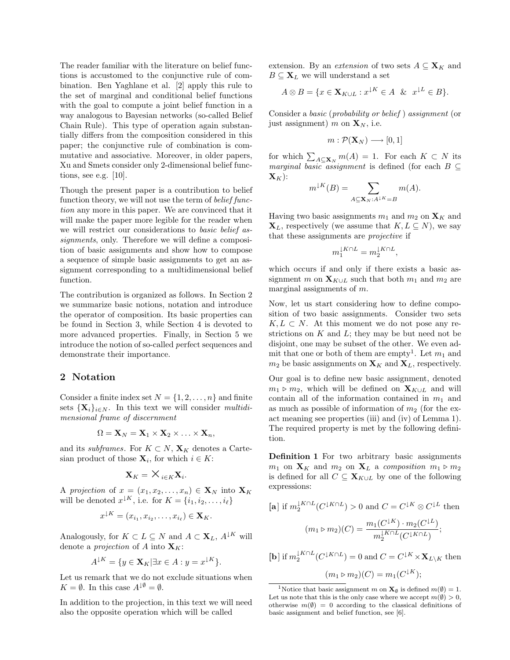The reader familiar with the literature on belief functions is accustomed to the conjunctive rule of combination. Ben Yaghlane et al. [2] apply this rule to the set of marginal and conditional belief functions with the goal to compute a joint belief function in a way analogous to Bayesian networks (so-called Belief Chain Rule). This type of operation again substantially differs from the composition considered in this paper; the conjunctive rule of combination is commutative and associative. Moreover, in older papers, Xu and Smets consider only 2-dimensional belief functions, see e.g. [10].

Though the present paper is a contribution to belief function theory, we will not use the term of *belief func*tion any more in this paper. We are convinced that it will make the paper more legible for the reader when we will restrict our considerations to basic belief assignments, only. Therefore we will define a composition of basic assignments and show how to compose a sequence of simple basic assignments to get an assignment corresponding to a multidimensional belief function.

The contribution is organized as follows. In Section 2 we summarize basic notions, notation and introduce the operator of composition. Its basic properties can be found in Section 3, while Section 4 is devoted to more advanced properties. Finally, in Section 5 we introduce the notion of so-called perfect sequences and demonstrate their importance.

#### 2 Notation

Consider a finite index set  $N = \{1, 2, \ldots, n\}$  and finite sets  $\{X_i\}_{i\in\mathbb{N}}$ . In this text we will consider multidimensional frame of discernment

$$
\Omega = \mathbf{X}_N = \mathbf{X}_1 \times \mathbf{X}_2 \times \ldots \times \mathbf{X}_n,
$$

and its subframes. For  $K \subset N$ ,  $\mathbf{X}_K$  denotes a Cartesian product of those  $\mathbf{X}_i$ , for which  $i \in K$ :

$$
\mathbf{X}_K = \mathsf{X}_{i \in K} \mathbf{X}_i.
$$

A projection of  $x = (x_1, x_2, \ldots, x_n) \in \mathbf{X}_N$  into  $\mathbf{X}_K$ will be denoted  $x^{\downarrow K}$ , i.e. for  $K = \{i_1, i_2, \ldots, i_\ell\}$ 

$$
x^{\downarrow K} = (x_{i_1}, x_{i_2}, \dots, x_{i_\ell}) \in \mathbf{X}_K.
$$

Analogously, for  $K \subset L \subseteq N$  and  $A \subset \mathbf{X}_L$ ,  $A^{\downarrow K}$  will denote a *projection* of A into  $\mathbf{X}_K$ :

$$
A^{\downarrow K} = \{ y \in \mathbf{X}_K | \exists x \in A : y = x^{\downarrow K} \}.
$$

Let us remark that we do not exclude situations when  $K = \emptyset$ . In this case  $A^{\downarrow \emptyset} = \emptyset$ .

In addition to the projection, in this text we will need also the opposite operation which will be called

extension. By an *extension* of two sets  $A \subseteq \mathbf{X}_K$  and  $B \subseteq \mathbf{X}_L$  we will understand a set

$$
A \otimes B = \{ x \in \mathbf{X}_{K \cup L} : x^{\downarrow K} \in A \ \& \ x^{\downarrow L} \in B \}.
$$

Consider a basic (probability or belief ) assignment (or just assignment) m on  $\mathbf{X}_N$ , i.e.

$$
m: \mathcal{P}(\mathbf{X}_N) \longrightarrow [0,1]
$$

for which  $\sum_{A\subseteq\mathbf{X}_N} m(A) = 1$ . For each  $K\subset N$  its *marginal basic assignment* is defined (for each  $B \subseteq$  ${\bf X}_K$ :

$$
m^{\downarrow K}(B) = \sum_{A \subseteq \mathbf{X}_N : A^{\downarrow K} = B} m(A).
$$

Having two basic assignments  $m_1$  and  $m_2$  on  $\mathbf{X}_K$  and  $\mathbf{X}_L$ , respectively (we assume that  $K, L \subseteq N$ ), we say that these assignments are projective if

$$
m_1^{\downarrow K\cap L}=m_2^{\downarrow K\cap L},
$$

which occurs if and only if there exists a basic assignment m on  $\mathbf{X}_{K\cup L}$  such that both  $m_1$  and  $m_2$  are marginal assignments of  $m$ .

Now, let us start considering how to define composition of two basic assignments. Consider two sets  $K, L \subset N$ . At this moment we do not pose any restrictions on  $K$  and  $L$ ; they may be but need not be disjoint, one may be subset of the other. We even admit that one or both of them are empty<sup>1</sup>. Let  $m_1$  and  $m_2$  be basic assignments on  $\mathbf{X}_K$  and  $\mathbf{X}_L$ , respectively.

Our goal is to define new basic assignment, denoted  $m_1 \triangleright m_2$ , which will be defined on  $\mathbf{X}_{K\cup L}$  and will contain all of the information contained in  $m_1$  and as much as possible of information of  $m_2$  (for the exact meaning see properties (iii) and (iv) of Lemma 1). The required property is met by the following definition.

Definition 1 For two arbitrary basic assignments  $m_1$  on  $\mathbf{X}_K$  and  $m_2$  on  $\mathbf{X}_L$  a composition  $m_1 \triangleright m_2$ is defined for all  $C \subseteq \mathbf{X}_{K\cup L}$  by one of the following expressions:

$$
[\mathbf{a}] \text{ if } m_2^{lK \cap L}(C^{lK \cap L}) > 0 \text{ and } C = C^{lK} \otimes C^{lL} \text{ then}
$$

$$
(m_1 \triangleright m_2)(C) = \frac{m_1(C^{lK}) \cdot m_2(C^{lL})}{m_2^{lK \cap L}(C^{lK \cap L})};
$$

[**b**] if  $m_2^{\downarrow K \cap L}(C^{\downarrow K \cap L}) = 0$  and  $C = C^{\downarrow K} \times \mathbf{X}_{L \setminus K}$  then  $(m_1 \triangleright m_2)(C) = m_1(C^{\downarrow K});$ 

<sup>&</sup>lt;sup>1</sup>Notice that basic assignment m on  $\mathbf{X}_{\emptyset}$  is defined  $m(\emptyset) = 1$ . Let us note that this is the only case where we accept  $m(\emptyset) > 0$ , otherwise  $m(\emptyset) = 0$  according to the classical definitions of basic assignment and belief function, see [6].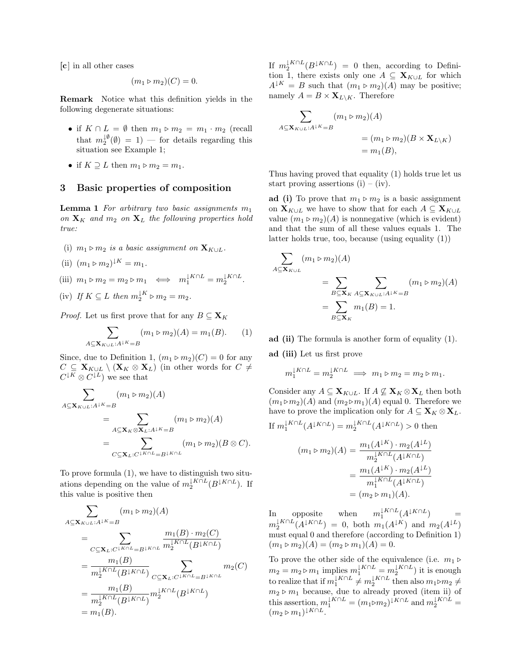[c] in all other cases

$$
(m_1 \triangleright m_2)(C) = 0.
$$

Remark Notice what this definition yields in the following degenerate situations:

- if  $K \cap L = \emptyset$  then  $m_1 \triangleright m_2 = m_1 \cdot m_2$  (recall that  $m_2^{\downarrow \emptyset}(\emptyset) = 1$  – for details regarding this situation see Example 1;
- if  $K \supseteq L$  then  $m_1 \triangleright m_2 = m_1$ .

## 3 Basic properties of composition

**Lemma 1** For arbitrary two basic assignments  $m_1$ on  $\mathbf{X}_K$  and  $m_2$  on  $\mathbf{X}_L$  the following properties hold true:

- (i)  $m_1 \triangleright m_2$  is a basic assignment on  $\mathbf{X}_{K\cup L}$ .
- (ii)  $(m_1 \triangleright m_2)^{\downarrow K} = m_1$ .
- (iii)  $m_1 \triangleright m_2 = m_2 \triangleright m_1 \iff m_1^{\downarrow K \cap L} = m_2^{\downarrow K \cap L}$ .
- (iv) If  $K \subseteq L$  then  $m_2^{\downarrow K} \triangleright m_2 = m_2$ .

*Proof.* Let us first prove that for any  $B \subseteq \mathbf{X}_K$ 

$$
\sum_{A \subseteq \mathbf{X}_{K \cup L}: A^{1K} = B} (m_1 \triangleright m_2)(A) = m_1(B). \tag{1}
$$

Since, due to Definition 1,  $(m_1 \triangleright m_2)(C) = 0$  for any  $C \subseteq \mathbf{X}_{K\cup L} \setminus (\mathbf{X}_K \otimes \mathbf{X}_L)$  (in other words for  $C \neq$  $C^{\downarrow K} \otimes C^{\downarrow L}$  we see that

$$
\sum_{A \subseteq \mathbf{X}_{K \cup L}:A^{K} = B} (m_1 \triangleright m_2)(A)
$$
\n
$$
= \sum_{A \subseteq \mathbf{X}_K \otimes \mathbf{X}_L:A^{K} = B} (m_1 \triangleright m_2)(A)
$$
\n
$$
= \sum_{C \subseteq \mathbf{X}_L:C^{K \cap L} = B^{K \cap L}} (m_1 \triangleright m_2)(B \otimes C).
$$

To prove formula (1), we have to distinguish two situations depending on the value of  $m_2^{\downarrow K \cap L}(B^{\downarrow K \cap L})$ . If this value is positive then

$$
\sum_{A \subseteq \mathbf{X}_{K \cup L}:A^{1K} = B} (m_1 \triangleright m_2)(A)
$$
\n
$$
= \sum_{C \subseteq \mathbf{X}_L:C^{1K \cap L} = B^{1K \cap L}} \frac{m_1(B) \cdot m_2(C)}{m_2^{1K \cap L}(B^{1K \cap L})}
$$
\n
$$
= \frac{m_1(B)}{m_2^{1K \cap L}(B^{1K \cap L})} \sum_{C \subseteq \mathbf{X}_L:C^{1K \cap L} = B^{1K \cap L}} m_2(C)
$$
\n
$$
= \frac{m_1(B)}{m_2^{1K \cap L}(B^{1K \cap L})} m_2^{1K \cap L}(B^{1K \cap L})
$$
\n
$$
= m_1(B).
$$

If  $m_2^{\downarrow K \cap L}(B^{\downarrow K \cap L}) = 0$  then, according to Definition 1, there exists only one  $A \subseteq \mathbf{X}_{K\cup L}$  for which  $A^{\downarrow K} = B$  such that  $(m_1 \triangleright m_2)(A)$  may be positive; namely  $A = B \times \mathbf{X}_{L \setminus K}$ . Therefore

$$
\sum_{A \subseteq \mathbf{X}_{K \cup L}: A^{\perp K} = B} (m_1 \triangleright m_2)(A)
$$
  
=  $(m_1 \triangleright m_2)(B \times \mathbf{X}_{L \setminus K})$   
=  $m_1(B)$ ,

Thus having proved that equality (1) holds true let us start proving assertions (i) – (iv).

ad (i) To prove that  $m_1 \triangleright m_2$  is a basic assignment on  $\mathbf{X}_{K\cup L}$  we have to show that for each  $A \subseteq \mathbf{X}_{K\cup L}$ value  $(m_1 \triangleright m_2)(A)$  is nonnegative (which is evident) and that the sum of all these values equals 1. The latter holds true, too, because (using equality (1))

$$
\sum_{A \subseteq \mathbf{X}_{K \cup L}} (m_1 \triangleright m_2)(A)
$$
\n
$$
= \sum_{B \subseteq \mathbf{X}_K} \sum_{A \subseteq \mathbf{X}_{K \cup L}: A^{\perp K} = B} (m_1 \triangleright m_2)(A)
$$
\n
$$
= \sum_{B \subseteq \mathbf{X}_K} m_1(B) = 1.
$$

- ad (ii) The formula is another form of equality (1).
- ad (iii) Let us first prove

If

$$
m_1^{\downarrow K \cap L} = m_2^{\downarrow K \cap L} \implies m_1 \triangleright m_2 = m_2 \triangleright m_1.
$$

Consider any  $A \subseteq \mathbf{X}_{K\cup L}$ . If  $A \nsubseteq \mathbf{X}_K \otimes \mathbf{X}_L$  then both  $(m_1 \triangleright m_2)(A)$  and  $(m_2 \triangleright m_1)(A)$  equal 0. Therefore we have to prove the implication only for  $A \subseteq \mathbf{X}_K \otimes \mathbf{X}_L$ .

$$
m_1^{LK \cap L}(A^{LK \cap L}) = m_2^{LK \cap L}(A^{LK \cap L}) > 0 \text{ then}
$$

$$
(m_1 \triangleright m_2)(A) = \frac{m_1(A^{LK}) \cdot m_2(A^{LL})}{m_2^{LK \cap L}(A^{LK \cap L})}
$$

$$
= \frac{m_1(A^{LK}) \cdot m_2(A^{LL})}{m_1^{LK \cap L}(A^{LK \cap L})}
$$

$$
= (m_2 \triangleright m_1)(A).
$$

In opposite when  $\frac{\downarrow K \cap L}{1}(A^{\downarrow K \cap L})$  =  $m_2^{\downarrow K \cap L}(A^{\downarrow K \cap L}) = 0$ , both  $m_1(A^{\downarrow K})$  and  $m_2(A^{\downarrow L})$ must equal 0 and therefore (according to Definition 1)  $(m_1 \triangleright m_2)(A) = (m_2 \triangleright m_1)(A) = 0.$ 

To prove the other side of the equivalence (i.e.  $m_1 \triangleright$  $m_2 = m_2 \triangleright m_1$  implies  $m_1^{\downarrow K \cap L} = m_2^{\downarrow K \cap L}$  it is enough to realize that if  $m_1^{\downarrow K \cap L} \neq m_2^{\downarrow K \cap L}$  then also  $m_1 \triangleright m_2 \neq$  $m_2 \triangleright m_1$  because, due to already proved (item ii) of this assertion,  $m_1^{\downarrow K \cap L} = (m_1 \triangleright m_2)^{\downarrow K \cap L}$  and  $m_2^{\downarrow K \cap L} =$  $(m_2 \triangleright m_1)^{\downarrow K \cap L}$ .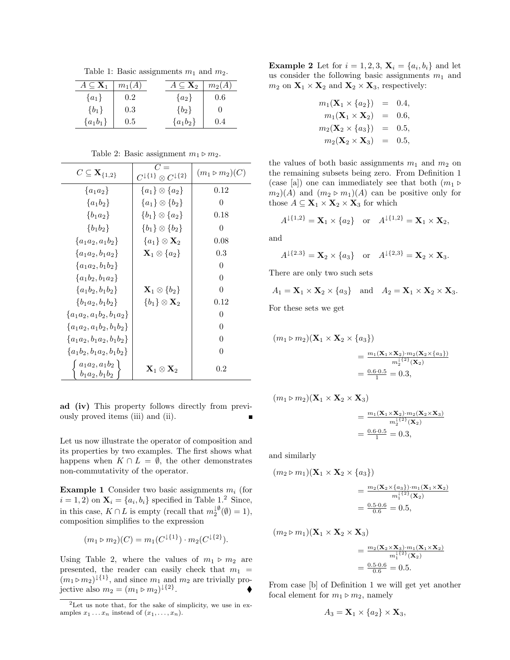Table 1: Basic assignments  $m_1$  and  $m_2$ .

| $A \subseteq \mathbf{X}_1$ | $m_1(A)$ | $A \subseteq \mathbf{X}_2$ | $m_2(A)$ |
|----------------------------|----------|----------------------------|----------|
| $\{a_1\}$                  | $0.2\,$  | $\{a_2\}$                  | 0.6      |
| ${b_1}$                    | 0.3      | ${b_2}$                    |          |
| ${a_1b_1}$                 | 0.5      | ${a_1b_2}$                 | 0.4      |

| $C \subseteq \mathbf{X}_{\{1,2\}}$                                                       | $C =$<br>$C^{\downarrow \{1\}}\otimes C^{\downarrow \{2\}}$ | $(m_1 \triangleright m_2)(C)$ |
|------------------------------------------------------------------------------------------|-------------------------------------------------------------|-------------------------------|
| ${a_1 a_2}$                                                                              | ${a_1} \otimes {a_2}$                                       | 0.12                          |
| ${a_1b_2}$                                                                               | ${a_1} \otimes {b_2}$                                       | 0                             |
| ${b_1a_2}$                                                                               | ${b_1} \otimes {a_2}$                                       | 0.18                          |
| ${b_1b_2}$                                                                               | ${b_1} \otimes {b_2}$                                       | 0                             |
| ${a_1a_2, a_1b_2}$                                                                       | ${a_1} \otimes X_2$                                         | 0.08                          |
| ${a_1a_2,b_1a_2}$                                                                        | $\mathbf{X}_1 \otimes \{a_2\}$                              | 0.3                           |
| ${a_1a_2,b_1b_2}$                                                                        |                                                             | 0                             |
| ${a_1b_2,b_1a_2}$                                                                        |                                                             | 0                             |
| ${a_1b_2,b_1b_2}$                                                                        | $\mathbf{X}_1\otimes\{b_2\}$                                | 0                             |
| ${b_1a_2,b_1b_2}$                                                                        | $\{b_1\}\otimes \mathbf{X}_2$                               | 0.12                          |
| ${a_1a_2, a_1b_2, b_1a_2}$                                                               |                                                             | 0                             |
| ${a_1a_2, a_1b_2, b_1b_2}$                                                               |                                                             | 0                             |
| ${a_1a_2,b_1a_2,b_1b_2}$                                                                 |                                                             | 0                             |
| ${a_1b_2, b_1a_2, b_1b_2}$                                                               |                                                             | 0                             |
| $\left\{\n \begin{array}{c}\n a_1a_2, a_1b_2 \\ b_1a_2, b_1b_2\n \end{array}\n \right\}$ | $\mathbf{X}_1\otimes \mathbf{X}_2$                          | $0.2\,$                       |

Table 2: Basic assignment  $m_1 \triangleright m_2$ .

ad (iv) This property follows directly from previously proved items (iii) and (ii).

Let us now illustrate the operator of composition and its properties by two examples. The first shows what happens when  $K \cap L = \emptyset$ , the other demonstrates non-commutativity of the operator.

**Example 1** Consider two basic assignments  $m_i$  (for  $i = 1, 2$  on  $\mathbf{X}_i = \{a_i, b_i\}$  specified in Table 1.<sup>2</sup> Since, in this case,  $K \cap L$  is empty (recall that  $m_2^{\downarrow \emptyset}(\emptyset) = 1$ ), composition simplifies to the expression

$$
(m_1 \triangleright m_2)(C) = m_1(C^{\downarrow \{1\}}) \cdot m_2(C^{\downarrow \{2\}}).
$$

Using Table 2, where the values of  $m_1 \triangleright m_2$  are presented, the reader can easily check that  $m_1$  =  $(m_1 \triangleright m_2)^{\downarrow {\{1\}}}$ , and since  $m_1$  and  $m_2$  are trivially projective also  $m_2 = (m_1 \triangleright m_2)^{\downarrow {\{2\}}}$  $\bullet$ 

**Example 2** Let for  $i = 1, 2, 3$ ,  $\mathbf{X}_i = \{a_i, b_i\}$  and let us consider the following basic assignments  $m_1$  and  $m_2$  on  $\mathbf{X}_1 \times \mathbf{X}_2$  and  $\mathbf{X}_2 \times \mathbf{X}_3$ , respectively:

$$
m_1(\mathbf{X}_1 \times \{a_2\}) = 0.4, \nm_1(\mathbf{X}_1 \times \mathbf{X}_2) = 0.6, \nm_2(\mathbf{X}_2 \times \{a_3\}) = 0.5, \nm_2(\mathbf{X}_2 \times \mathbf{X}_3) = 0.5,
$$

the values of both basic assignments  $m_1$  and  $m_2$  on the remaining subsets being zero. From Definition 1 (case [a]) one can immediately see that both  $(m_1 \triangleright$  $(m_2)(A)$  and  $(m_2 \triangleright m_1)(A)$  can be positive only for those  $A \subseteq \mathbf{X}_1 \times \mathbf{X}_2 \times \mathbf{X}_3$  for which

$$
A^{\downarrow \{1,2\}} = \mathbf{X}_1 \times \{a_2\}
$$
 or  $A^{\downarrow \{1,2\}} = \mathbf{X}_1 \times \mathbf{X}_2$ ,

and

A

$$
4^{\downarrow \{2.3\}} = \mathbf{X}_2 \times \{a_3\} \text{ or } A^{\downarrow \{2,3\}} = \mathbf{X}_2 \times \mathbf{X}_3.
$$

There are only two such sets

$$
A_1 = \mathbf{X}_1 \times \mathbf{X}_2 \times \{a_3\} \quad \text{and} \quad A_2 = \mathbf{X}_1 \times \mathbf{X}_2 \times \mathbf{X}_3.
$$

For these sets we get

$$
(m_1 \triangleright m_2)(\mathbf{X}_1 \times \mathbf{X}_2 \times \{a_3\})
$$
  
= 
$$
\frac{m_1(\mathbf{X}_1 \times \mathbf{X}_2) \cdot m_2(\mathbf{X}_2 \times \{a_3\})}{m_2^{1/2}(\mathbf{X}_2)}
$$
  
= 
$$
\frac{0.6 \cdot 0.5}{1} = 0.3,
$$

 $(m_1 \triangleright m_2)(\mathbf{X}_1 \times \mathbf{X}_2 \times \mathbf{X}_3)$ 

$$
= \frac{m_1(\mathbf{X}_1 \times \mathbf{X}_2) \cdot m_2(\mathbf{X}_2 \times \mathbf{X}_3)}{m_2^{1/2}(\mathbf{X}_2)}
$$
  
=  $\frac{0.6 \cdot 0.5}{1} = 0.3$ ,

and similarly

$$
(m_2 \triangleright m_1)(\mathbf{X}_1 \times \mathbf{X}_2 \times \{a_3\})
$$
  
= 
$$
\frac{m_2(\mathbf{X}_2 \times \{a_3\}) \cdot m_1(\mathbf{X}_1 \times \mathbf{X}_2)}{m_1^{1/2}(\mathbf{X}_2)}
$$
  
= 
$$
\frac{0.5 \cdot 0.6}{0.6} = 0.5,
$$

 $(m_2 \triangleright m_1)(\mathbf{X}_1 \times \mathbf{X}_2 \times \mathbf{X}_3)$ 

$$
= \frac{m_2(\mathbf{X}_2 \times \mathbf{X}_3) \cdot m_1(\mathbf{X}_1 \times \mathbf{X}_2)}{m_1^{1\{2\}}(\mathbf{X}_2)}
$$
  
=  $\frac{0.5 \cdot 0.6}{0.6} = 0.5$ .

From case [b] of Definition 1 we will get yet another focal element for  $m_1 \triangleright m_2$ , namely

$$
A_3 = \mathbf{X}_1 \times \{a_2\} \times \mathbf{X}_3,
$$

<sup>2</sup>Let us note that, for the sake of simplicity, we use in examples  $x_1 \ldots x_n$  instead of  $(x_1, \ldots, x_n)$ .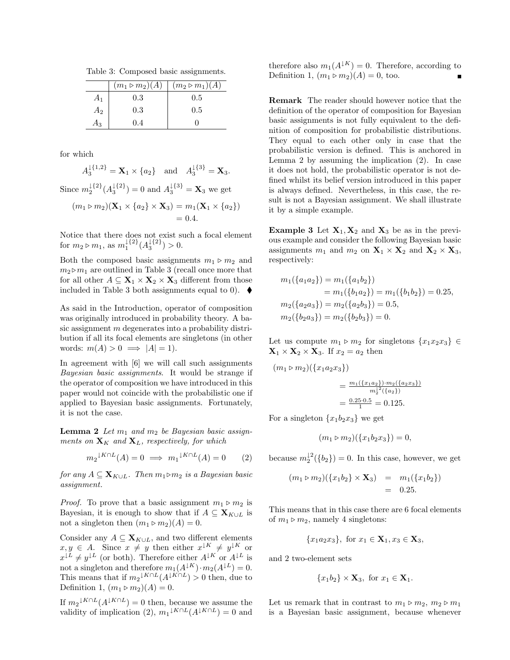Table 3: Composed basic assignments.

|       | $(m_1 \triangleright m_2)(A)$ | $(m_2 \triangleright m_1)(A)$ |
|-------|-------------------------------|-------------------------------|
| $A_1$ | 0.3                           | $0.5\,$                       |
| $A_2$ | 0.3                           | 0.5                           |
| 713   | (1.4)                         |                               |

for which

 $A_3^{\{1,2\}} = \mathbf{X}_1 \times \{a_2\}$  and  $A_3^{\{3\}} = \mathbf{X}_3$ . Since  $m_2^{\{1\}}(A_3^{\{2\}}) = 0$  and  $A_3^{\{3\}} = \mathbf{X}_3$  we get  $(m_1 \triangleright m_2)(\mathbf{X}_1 \times \{a_2\} \times \mathbf{X}_3) = m_1(\mathbf{X}_1 \times \{a_2\})$  $= 0.4.$ 

Notice that there does not exist such a focal element for  $m_2 \triangleright m_1$ , as  $m_1^{\{2\}}(A_3^{\{2\}}) > 0$ .

Both the composed basic assignments  $m_1 \triangleright m_2$  and  $m_2 \triangleright m_1$  are outlined in Table 3 (recall once more that for all other  $A \subseteq \mathbf{X}_1 \times \mathbf{X}_2 \times \mathbf{X}_3$  different from those included in Table 3 both assignments equal to 0).  $\blacklozenge$ 

As said in the Introduction, operator of composition was originally introduced in probability theory. A basic assignment m degenerates into a probability distribution if all its focal elements are singletons (in other words:  $m(A) > 0 \implies |A| = 1$ .

In agreement with [6] we will call such assignments Bayesian basic assignments. It would be strange if the operator of composition we have introduced in this paper would not coincide with the probabilistic one if applied to Bayesian basic assignments. Fortunately, it is not the case.

**Lemma 2** Let  $m_1$  and  $m_2$  be Bayesian basic assignments on  $\mathbf{X}_K$  and  $\mathbf{X}_L$ , respectively, for which

$$
m_2{}^{\downarrow K \cap L}(A) = 0 \implies m_1{}^{\downarrow K \cap L}(A) = 0 \qquad (2)
$$

for any  $A \subseteq \mathbf{X}_{K \cup L}$ . Then  $m_1 \triangleright m_2$  is a Bayesian basic assignment.

*Proof.* To prove that a basic assignment  $m_1 \triangleright m_2$  is Bayesian, it is enough to show that if  $A \subseteq \mathbf{X}_{K\cup L}$  is not a singleton then  $(m_1 \triangleright m_2)(A) = 0$ .

Consider any  $A \subseteq \mathbf{X}_{K\cup L}$ , and two different elements  $x, y \in A$ . Since  $x \neq y$  then either  $x^{\downarrow K} \neq y^{\downarrow K}$  or  $x^{\downarrow L} \neq y^{\downarrow L}$  (or both). Therefore either  $A^{\downarrow K}$  or  $A^{\downarrow L}$  is not a singleton and therefore  $m_1(A^{\downarrow K}) \cdot m_2(A^{\downarrow L}) = 0$ . This means that if  $m_2 \sqrt[k]{L(A^{\downarrow K \cap L})} > 0$  then, due to Definition 1,  $(m_1 \triangleright m_2)(A) = 0$ .

If  $m_2 {}^{\downarrow K \cap L}(A {}^{\downarrow K \cap L}) = 0$  then, because we assume the validity of implication (2),  $m_1 \sqrt[k]{\Lambda} L(A \sqrt[k]{\Lambda} L) = 0$  and therefore also  $m_1(A^{\downarrow K}) = 0$ . Therefore, according to Definition 1,  $(m_1 \triangleright m_2)(A) = 0$ , too.

Remark The reader should however notice that the definition of the operator of composition for Bayesian basic assignments is not fully equivalent to the definition of composition for probabilistic distributions. They equal to each other only in case that the probabilistic version is defined. This is anchored in Lemma 2 by assuming the implication (2). In case it does not hold, the probabilistic operator is not defined whilst its belief version introduced in this paper is always defined. Nevertheless, in this case, the result is not a Bayesian assignment. We shall illustrate it by a simple example.

**Example 3** Let  $X_1, X_2$  and  $X_3$  be as in the previous example and consider the following Bayesian basic assignments  $m_1$  and  $m_2$  on  $\mathbf{X}_1 \times \mathbf{X}_2$  and  $\mathbf{X}_2 \times \mathbf{X}_3$ , respectively:

$$
m_1({a_1 a_2}) = m_1({a_1 b_2})
$$
  
=  $m_1({b_1 a_2}) = m_1({b_1 b_2}) = 0.25$ ,  

$$
m_2({a_2 a_3}) = m_2({a_2 b_3}) = 0.5
$$
,  

$$
m_2({b_2 a_3}) = m_2({b_2 b_3}) = 0.
$$

Let us compute  $m_1 \triangleright m_2$  for singletons  $\{x_1x_2x_3\} \in$  $\mathbf{X}_1 \times \mathbf{X}_2 \times \mathbf{X}_3$ . If  $x_2 = a_2$  then

$$
(m_1 \triangleright m_2)(\lbrace x_1 a_2 x_3 \rbrace)
$$
  
= 
$$
\frac{m_1(\lbrace x_1 a_2 \rbrace) \cdot m_2(\lbrace a_2 x_3 \rbrace)}{m_2^{12}(\lbrace a_2 \rbrace)}
$$
  
= 
$$
\frac{0.25 \cdot 0.5}{1} = 0.125.
$$

For a singleton  $\{x_1b_2x_3\}$  we get

$$
(m_1 \triangleright m_2)(\{x_1b_2x_3\}) = 0,
$$

because  $m_2^{\downarrow 2}(\{b_2\}) = 0$ . In this case, however, we get

$$
(m_1 \triangleright m_2)(\lbrace x_1b_2 \rbrace \times \mathbf{X}_3) = m_1(\lbrace x_1b_2 \rbrace)
$$
  
= 0.25.

This means that in this case there are 6 focal elements of  $m_1 \triangleright m_2$ , namely 4 singletons:

$$
{x_1 a_2 x_3}
$$
, for  $x_1 \in \mathbf{X}_1, x_3 \in \mathbf{X}_3$ ,

and 2 two-element sets

$$
\{x_1b_2\} \times \mathbf{X}_3, \text{ for } x_1 \in \mathbf{X}_1.
$$

Let us remark that in contrast to  $m_1 \triangleright m_2$ ,  $m_2 \triangleright m_1$ is a Bayesian basic assignment, because whenever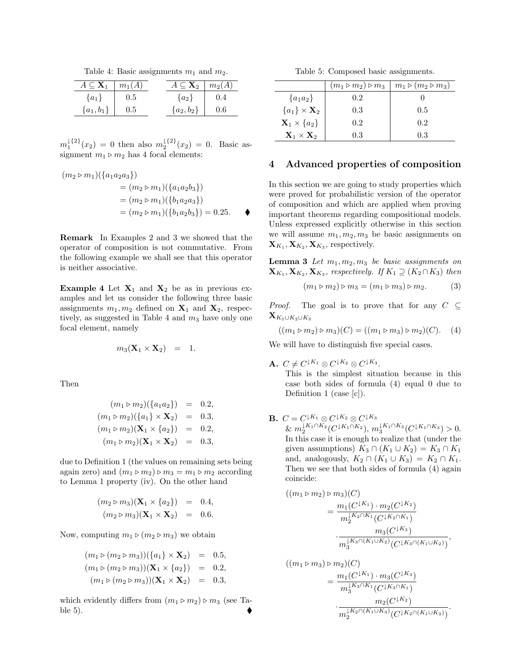Table 4: Basic assignments  $m_1$  and  $m_2$ .

| $A \subseteq \mathbf{X}_1$ | $m_1(A)$ | $A \subseteq \mathbf{X}_2$ | $m_2(A)$ |
|----------------------------|----------|----------------------------|----------|
| $\{a_1\}$                  | U.5      | $\{a_2\}$                  | 0.4      |
| ${a_1,b_1}$                | 0.5      | ${a_2,b_2}$                | 0.6      |

 $m_1^{1{2\}}(x_2) = 0$  then also  $m_2^{1{2\}}(x_2) = 0$ . Basic assignment  $m_1 \triangleright m_2$  has 4 focal elements:

$$
(m_2 \triangleright m_1)(\{a_1 a_2 a_3\})
$$
  
=  $(m_2 \triangleright m_1)(\{a_1 a_2 b_3\})$   
=  $(m_2 \triangleright m_1)(\{b_1 a_2 a_3\})$   
=  $(m_2 \triangleright m_1)(\{b_1 a_2 b_3\}) = 0.25.$ 

Remark In Examples 2 and 3 we showed that the operator of composition is not commutative. From the following example we shall see that this operator is neither associative.

Example 4 Let  $X_1$  and  $X_2$  be as in previous examples and let us consider the following three basic assignments  $m_1, m_2$  defined on  $X_1$  and  $X_2$ , respectively, as suggested in Table 4 and  $m_3$  have only one focal element, namely

$$
m_3(\mathbf{X}_1 \times \mathbf{X}_2) = 1.
$$

Then

$$
(m_1 \triangleright m_2)(\{a_1 a_2\}) = 0.2,
$$
  
\n
$$
(m_1 \triangleright m_2)(\{a_1\} \times \mathbf{X}_2) = 0.3,
$$
  
\n
$$
(m_1 \triangleright m_2)(\mathbf{X}_1 \times \{a_2\}) = 0.2,
$$
  
\n
$$
(m_1 \triangleright m_2)(\mathbf{X}_1 \times \mathbf{X}_2) = 0.3,
$$

due to Definition 1 (the values on remaining sets being again zero) and  $(m_1 \triangleright m_2) \triangleright m_3 = m_1 \triangleright m_2$  according to Lemma 1 property (iv). On the other hand

$$
(m_2 \triangleright m_3)(\mathbf{X}_1 \times \{a_2\}) = 0.4,
$$
  

$$
(m_2 \triangleright m_3)(\mathbf{X}_1 \times \mathbf{X}_2) = 0.6.
$$

Now, computing  $m_1 \triangleright (m_2 \triangleright m_3)$  we obtain

$$
(m_1 \triangleright (m_2 \triangleright m_3))(\lbrace a_1 \rbrace \times \mathbf{X}_2) = 0.5,
$$
  
\n
$$
(m_1 \triangleright (m_2 \triangleright m_3))(\mathbf{X}_1 \times \lbrace a_2 \rbrace) = 0.2,
$$
  
\n
$$
(m_1 \triangleright (m_2 \triangleright m_3))(\mathbf{X}_1 \times \mathbf{X}_2) = 0.3,
$$

which evidently differs from  $(m_1 \triangleright m_2) \triangleright m_3$  (see Table 5).

Table 5: Composed basic assignments.

|                                    | $(m_1 \triangleright m_2) \triangleright m_3$ | $m_1 \triangleright (m_2 \triangleright m_3)$ |
|------------------------------------|-----------------------------------------------|-----------------------------------------------|
| ${a_1 a_2}$                        | 0.2                                           |                                               |
| ${a_1} \times \mathbf{X}_2$        | 0.3                                           | 0.5                                           |
| $\mathbf{X}_1 \times \{a_2\}$      | 0.2                                           | 0.2                                           |
| $\mathbf{X}_1 \times \mathbf{X}_2$ | 0.3                                           | 0.3                                           |

#### 4 Advanced properties of composition

In this section we are going to study properties which were proved for probabilistic version of the operator of composition and which are applied when proving important theorems regarding compositional models. Unless expressed explicitly otherwise in this section we will assume  $m_1, m_2, m_3$  be basic assignments on  $\mathbf{X}_{K_1}, \mathbf{X}_{K_2}, \mathbf{X}_{K_3}$ , respectively.

**Lemma 3** Let  $m_1, m_2, m_3$  be basic assignments on  $\mathbf{X}_{K_1}, \mathbf{X}_{K_2}, \mathbf{X}_{K_3}$ , respectively. If  $K_1 \supseteq (K_2 \cap K_3)$  then

$$
(m_1 \triangleright m_2) \triangleright m_3 = (m_1 \triangleright m_3) \triangleright m_2. \tag{3}
$$

*Proof.* The goal is to prove that for any  $C \subseteq$  $\mathbf{X}_{K_1\cup K_2\cup K_3}$ 

 $((m_1 \triangleright m_2) \triangleright m_3)(C) = ((m_1 \triangleright m_3) \triangleright m_2)(C).$  (4)

We will have to distinguish five special cases.

 $\mathbf{A.} \; C \neq C^{\downarrow K_1} \otimes C^{\downarrow K_2} \otimes C^{\downarrow K_3}.$ 

This is the simplest situation because in this case both sides of formula (4) equal 0 due to Definition 1 (case [c]).

**B.**  $C = C^{\downarrow K_1} \otimes C^{\downarrow K_2} \otimes C^{\downarrow K_3}$  $\& m_2^{\downarrow K_1 \cap K_2} (C^{\downarrow K_1 \cap K_2}), m_3^{\downarrow K_1 \cap K_3} (C^{\downarrow K_1 \cap K_3}) > 0.$ In this case it is enough to realize that (under the given assumptions)  $K_3 \cap (K_1 \cup K_2) = K_3 \cap K_1$ and, analogously,  $K_2 \cap (K_1 \cup K_3) = K_2 \cap K_1$ . Then we see that both sides of formula (4) again coincide:

$$
((m_1 \triangleright m_2) \triangleright m_3)(C)
$$
  
= 
$$
\frac{m_1(C^{\downarrow K_1}) \cdot m_2(C^{\downarrow K_2})}{m_2^{\downarrow K_2 \cap K_1}(C^{\downarrow K_2 \cap K_1})}
$$
  

$$
\cdot \frac{m_3(C^{\downarrow K_3})}{m_3^{\downarrow K_3 \cap (K_1 \cup K_2)}(C^{\downarrow K_3 \cap (K_1 \cup K_2)})},
$$

$$
((m_1 \triangleright m_3) \triangleright m_2)(C)
$$
  
= 
$$
\frac{m_1(C^{\downarrow K_1}) \cdot m_3(C^{\downarrow K_3})}{m_3^{\downarrow K_3 \cap K_1}(C^{\downarrow K_3 \cap K_1})}
$$
  

$$
\cdot \frac{m_2(C^{\downarrow K_2})}{m_2^{\downarrow K_2 \cap (K_1 \cup K_3)}(C^{\downarrow K_2 \cap (K_1 \cup K_3)})}.
$$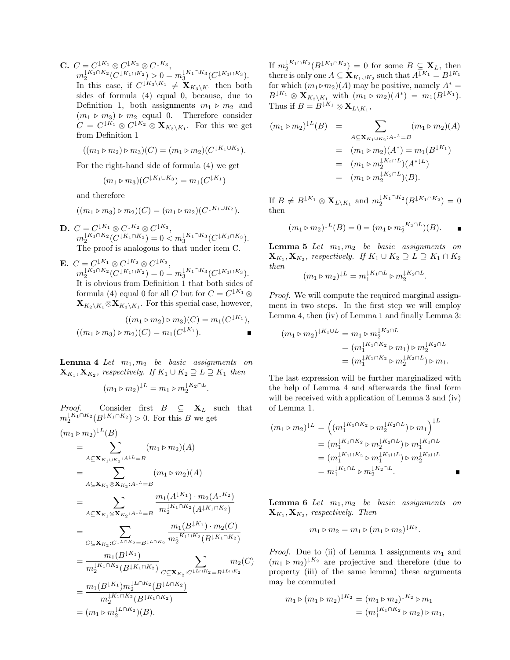$\mathbf{C}. \ \ C=C^{\downarrow K_1}\otimes C^{\downarrow K_2}\otimes C^{\downarrow K_3},$  $m_2^{\downarrow K_1 \cap K_2} (C^{\downarrow K_1 \cap K_2}) > 0 = m_3^{\downarrow K_1 \cap K_3} (C^{\downarrow K_1 \cap K_3}).$ In this case, if  $C^{\downarrow K_3 \setminus K_1} \neq \mathbf{X}_{K_3 \setminus K_1}$  then both sides of formula (4) equal 0, because, due to Definition 1, both assignments  $m_1 \triangleright m_2$  and  $(m_1 \triangleright m_3) \triangleright m_2$  equal 0. Therefore consider  $C = C^{\downarrow K_1} \otimes C^{\downarrow K_2} \otimes \mathbf{X}_{K_3 \setminus K_1}$ . For this we get from Definition 1

$$
((m_1 \triangleright m_2) \triangleright m_3)(C) = (m_1 \triangleright m_2)(C^{\downarrow K_1 \cup K_2}).
$$

For the right-hand side of formula (4) we get

$$
(m_1 \triangleright m_3)(C^{\downarrow K_1 \cup K_3}) = m_1(C^{\downarrow K_1})
$$

and therefore

$$
((m_1 \triangleright m_3) \triangleright m_2)(C) = (m_1 \triangleright m_2)(C^{\downarrow K_1 \cup K_2}).
$$

- $\mathbf{D.} \ \ C = C^{\downarrow K_1} \otimes C^{\downarrow K_2} \otimes C^{\downarrow K_3},$  $m_2^{\downarrow K_1 \cap K_2} (C^{\downarrow K_1 \cap K_2}) = 0 < m_3^{\downarrow K_1 \cap K_3} (C^{\downarrow K_1 \cap K_3}).$ The proof is analogous to that under item C.
- $\mathbf{E.} \ \ C=C^{\downarrow K_1}\otimes C^{\downarrow K_2}\otimes C^{\downarrow K_3},$  $m_2^{\downarrow K_1 \cap K_2} (C^{\downarrow K_1 \cap K_2}) = 0 = m_3^{\downarrow K_1 \cap K_3} (C^{\downarrow K_1 \cap K_3}).$ It is obvious from Definition 1 that both sides of formula (4) equal 0 for all C but for  $C = C^{\downarrow K_1} \otimes$  $\mathbf{X}_{K_2\setminus K_1} \otimes \mathbf{X}_{K_3\setminus K_1}$ . For this special case, however,

$$
((m_1 \triangleright m_2) \triangleright m_3)(C) = m_1(C^{\downarrow K_1}),
$$
  

$$
((m_1 \triangleright m_3) \triangleright m_2)(C) = m_1(C^{\downarrow K_1}).
$$

**Lemma 4** Let  $m_1, m_2$  be basic assignments on  $\mathbf{X}_{K_1}, \mathbf{X}_{K_2}$ , respectively. If  $K_1 \cup K_2 \supseteq L \supseteq K_1$  then

$$
(m_1 \triangleright m_2)^{\downarrow L} = m_1 \triangleright m_2^{\downarrow K_2 \cap L}.
$$

*Proof.* Consider first  $B \subseteq \mathbf{X}_L$  such that  $m_2^{\downarrow K_1 \cap K_2}(B^{\downarrow K_1 \cap K_2}) > 0$ . For this B we get

$$
(m_1 \triangleright m_2)^{\downarrow L}(B)
$$
\n
$$
= \sum_{A \subseteq \mathbf{X}_{K_1 \cup K_2}:A^{\downarrow L} = B} (m_1 \triangleright m_2)(A)
$$
\n
$$
= \sum_{A \subseteq \mathbf{X}_{K_1} \otimes \mathbf{X}_{K_2}:A^{\downarrow L} = B} (m_1 \triangleright m_2)(A)
$$
\n
$$
= \sum_{A \subseteq \mathbf{X}_{K_1} \otimes \mathbf{X}_{K_2}:A^{\downarrow L} = B} \frac{m_1(A^{\downarrow K_1}) \cdot m_2(A^{\downarrow K_2})}{m_2^{\downarrow K_1 \cap K_2}(A^{\downarrow K_1 \cap K_2})}
$$
\n
$$
= \sum_{C \subseteq \mathbf{X}_{K_2}:C^{\downarrow L \cap K_2} = B^{\downarrow L \cap K_2}} \frac{m_1(B^{\downarrow K_1}) \cdot m_2(C)}{m_2^{\downarrow K_1 \cap K_2}(B^{\downarrow K_1 \cap K_2})}
$$
\n
$$
= \frac{m_1(B^{\downarrow K_1})}{m_2^{\downarrow K_1 \cap K_2}(B^{\downarrow K_1 \cap K_2})} \sum_{C \subseteq \mathbf{X}_{K_2}:C^{\downarrow L \cap K_2} = B^{\downarrow L \cap K_2}}
$$
\n
$$
= \frac{m_1(B^{\downarrow K_1}) m_2^{\downarrow L \cap K_2}(B^{\downarrow L \cap K_2})}{m_2^{\downarrow K_1 \cap K_2}(B^{\downarrow K_1 \cap K_2})}
$$
\n
$$
= (m_1 \triangleright m_2^{\downarrow L \cap K_2})(B).
$$

If  $m_2^{\downarrow K_1 \cap K_2}(B^{\downarrow K_1 \cap K_2}) = 0$  for some  $B \subseteq \mathbf{X}_L$ , then there is only one  $A \subseteq \mathbf{X}_{K_1 \cup K_2}$  such that  $A^{\downarrow K_1} = B^{\downarrow K_1}$ for which  $(m_1 \triangleright m_2)(A)$  may be positive, namely  $A^* =$  $B^{\downarrow K_1} \otimes \mathbf{X}_{K_2 \setminus K_1}$  with  $(m_1 \triangleright m_2)(A^*) = m_1(B^{\downarrow K_1}).$ Thus if  $B = B^{\downarrow K_1} \otimes \mathbf{X}_{L \setminus K_1}$ ,

$$
(m_1 \triangleright m_2)^{\downarrow L}(B) = \sum_{A \subseteq \mathbf{X}_{K_1 \cup K_2}: A^{\downarrow L} = B} (m_1 \triangleright m_2)(A)
$$
  
=  $(m_1 \triangleright m_2)(A^*) = m_1(B^{\downarrow K_1})$   
=  $(m_1 \triangleright m_2^{\downarrow K_2 \cap L})(A^{*\downarrow L})$   
=  $(m_1 \triangleright m_2^{\downarrow K_2 \cap L})(B).$ 

If  $B \neq B^{\downarrow K_1} \otimes \mathbf{X}_{L \setminus K_1}$  and  $m_2^{\downarrow K_1 \cap K_2}(B^{\downarrow K_1 \cap K_2}) = 0$ then

$$
(m_1 \triangleright m_2)^{\downarrow L}(B) = 0 = (m_1 \triangleright m_2^{\downarrow K_2 \cap L})(B).
$$

**Lemma 5** Let  $m_1, m_2$  be basic assignments on  $\mathbf{X}_{K_1}, \mathbf{X}_{K_2}$ , respectively. If  $K_1 \cup K_2 \supseteq L \supseteq K_1 \cap K_2$ then

$$
(m_1 \triangleright m_2)^{\downarrow L} = m_1^{\downarrow K_1 \cap L} \triangleright m_2^{\downarrow K_2 \cap L}.
$$

Proof. We will compute the required marginal assignment in two steps. In the first step we will employ Lemma 4, then (iv) of Lemma 1 and finally Lemma 3:

$$
(m_1 \triangleright m_2)^{\downarrow K_1 \cup L} = m_1 \triangleright m_2^{\downarrow K_2 \cap L}
$$
  
=  $(m_1^{\downarrow K_1 \cap K_2} \triangleright m_1) \triangleright m_2^{\downarrow K_2 \cap L}$   
=  $(m_1^{\downarrow K_1 \cap K_2} \triangleright m_2^{\downarrow K_2 \cap L}) \triangleright m_1.$ 

The last expression will be further marginalized with the help of Lemma 4 and afterwards the final form will be received with application of Lemma 3 and (iv) of Lemma 1.

$$
(m_1 \triangleright m_2)^{\downarrow L} = ((m_1^{\downarrow K_1 \cap K_2} \triangleright m_2^{\downarrow K_2 \cap L}) \triangleright m_1)^{\downarrow L}
$$
  
=  $(m_1^{\downarrow K_1 \cap K_2} \triangleright m_2^{\downarrow K_2 \cap L}) \triangleright m_1^{\downarrow K_1 \cap L}$   
=  $(m_1^{\downarrow K_1 \cap K_2} \triangleright m_1^{\downarrow K_1 \cap L}) \triangleright m_2^{\downarrow K_2 \cap L}$   
=  $m_1^{\downarrow K_1 \cap L} \triangleright m_2^{\downarrow K_2 \cap L}$ .

**Lemma 6** Let  $m_1, m_2$  be basic assignments on  $\mathbf{X}_{K_1}, \mathbf{X}_{K_2}$ , respectively. Then

$$
m_1 \triangleright m_2 = m_1 \triangleright (m_1 \triangleright m_2)^{\downarrow K_2}.
$$

*Proof.* Due to (ii) of Lemma 1 assignments  $m_1$  and  $(m_1 \triangleright m_2)^{\downarrow K_2}$  are projective and therefore (due to property (iii) of the same lemma) these arguments may be commuted

$$
m_1 \triangleright (m_1 \triangleright m_2)^{\downarrow K_2} = (m_1 \triangleright m_2)^{\downarrow K_2} \triangleright m_1
$$
  
= 
$$
(m_1^{\downarrow K_1 \cap K_2} \triangleright m_2) \triangleright m_1,
$$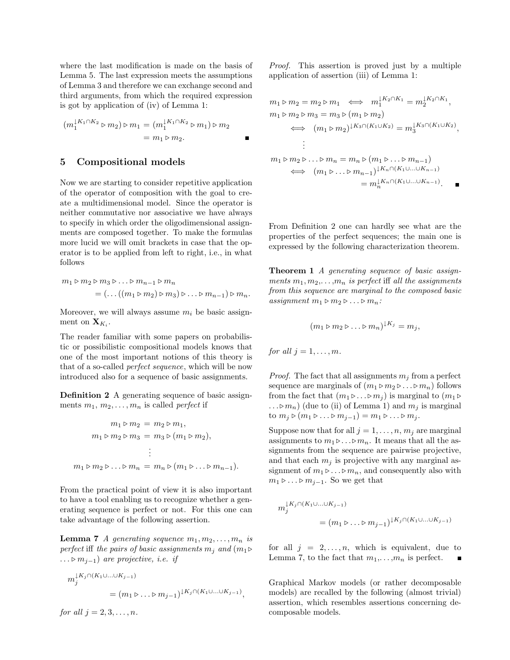where the last modification is made on the basis of Lemma 5. The last expression meets the assumptions of Lemma 3 and therefore we can exchange second and third arguments, from which the required expression is got by application of (iv) of Lemma 1:

$$
(m_1^{K_1 \cap K_2} \triangleright m_2) \triangleright m_1 = (m_1^{K_1 \cap K_2} \triangleright m_1) \triangleright m_2
$$
  
=  $m_1 \triangleright m_2$ .

#### 5 Compositional models

Now we are starting to consider repetitive application of the operator of composition with the goal to create a multidimensional model. Since the operator is neither commutative nor associative we have always to specify in which order the oligodimensional assignments are composed together. To make the formulas more lucid we will omit brackets in case that the operator is to be applied from left to right, i.e., in what follows

$$
m_1 \triangleright m_2 \triangleright m_3 \triangleright \ldots \triangleright m_{n-1} \triangleright m_n
$$
  
= (... ((m\_1 \triangleright m\_2) \triangleright m\_3) \triangleright \ldots \triangleright m\_{n-1}) \triangleright m\_n.

Moreover, we will always assume  $m_i$  be basic assignment on  $\mathbf{X}_{K_i}$ .

The reader familiar with some papers on probabilistic or possibilistic compositional models knows that one of the most important notions of this theory is that of a so-called perfect sequence, which will be now introduced also for a sequence of basic assignments.

Definition 2 A generating sequence of basic assignments  $m_1, m_2, \ldots, m_n$  is called *perfect* if

$$
m_1 \triangleright m_2 = m_2 \triangleright m_1,
$$
  
\n
$$
m_1 \triangleright m_2 \triangleright m_3 = m_3 \triangleright (m_1 \triangleright m_2),
$$
  
\n
$$
\vdots
$$
  
\n
$$
m_1 \triangleright m_2 \triangleright \dots \triangleright m_n = m_n \triangleright (m_1 \triangleright \dots \triangleright m_{n-1}).
$$

From the practical point of view it is also important to have a tool enabling us to recognize whether a generating sequence is perfect or not. For this one can take advantage of the following assertion.

**Lemma 7** A generating sequence  $m_1, m_2, \ldots, m_n$  is perfect iff the pairs of basic assignments  $m_j$  and  $(m_1 \triangleright$ ... ⊳  $m_{i-1}$ ) are projective, i.e. if

$$
m_j^{\downarrow K_j \cap (K_1 \cup \ldots \cup K_{j-1})}
$$
  
= 
$$
(m_1 \triangleright \ldots \triangleright m_{j-1})^{\downarrow K_j \cap (K_1 \cup \ldots \cup K_{j-1})},
$$

for all  $j = 2, 3, \ldots, n$ .

Proof. This assertion is proved just by a multiple application of assertion (iii) of Lemma 1:

$$
m_1 \triangleright m_2 = m_2 \triangleright m_1 \iff m_1^{\downarrow K_2 \cap K_1} = m_2^{\downarrow K_2 \cap K_1},
$$
  
\n
$$
m_1 \triangleright m_2 \triangleright m_3 = m_3 \triangleright (m_1 \triangleright m_2)
$$
  
\n
$$
\iff (m_1 \triangleright m_2)^{\downarrow K_3 \cap (K_1 \cup K_2)} = m_3^{\downarrow K_3 \cap (K_1 \cup K_2)},
$$
  
\n
$$
\vdots
$$
  
\n
$$
m_1 \triangleright m_2 \triangleright \dots \triangleright m_n = m_n \triangleright (m_1 \triangleright \dots \triangleright m_{n-1})
$$
  
\n
$$
\iff (m_1 \triangleright \dots \triangleright m_{n-1})^{\downarrow K_n \cap (K_1 \cup \dots \cup K_{n-1})}
$$
  
\n
$$
= m_n^{\downarrow K_n \cap (K_1 \cup \dots \cup K_{n-1})}.
$$

From Definition 2 one can hardly see what are the properties of the perfect sequences; the main one is expressed by the following characterization theorem.

Theorem 1 A generating sequence of basic assignments  $m_1, m_2, \ldots, m_n$  is perfect iff all the assignments from this sequence are marginal to the composed basic assignment  $m_1 \triangleright m_2 \triangleright \ldots \triangleright m_n$ :

$$
(m_1 \triangleright m_2 \triangleright \ldots \triangleright m_n)^{\downarrow K_j} = m_j,
$$

for all 
$$
j = 1, \ldots, m
$$
.

*Proof.* The fact that all assignments  $m_i$  from a perfect sequence are marginals of  $(m_1 \triangleright m_2 \triangleright \ldots \triangleright m_n)$  follows from the fact that  $(m_1 \triangleright ... \triangleright m_i)$  is marginal to  $(m_1 \triangleright ... \triangleright m_i)$  $\ldots \triangleright m_n)$  (due to (ii) of Lemma 1) and  $m_i$  is marginal to  $m_j \triangleright (m_1 \triangleright \ldots \triangleright m_{j-1}) = m_1 \triangleright \ldots \triangleright m_j$ .

Suppose now that for all  $j = 1, \ldots, n, m_j$  are marginal assignments to  $m_1 \triangleright ... \triangleright m_n$ . It means that all the assignments from the sequence are pairwise projective, and that each  $m_i$  is projective with any marginal assignment of  $m_1 \triangleright ... \triangleright m_n$ , and consequently also with  $m_1 \triangleright ... \triangleright m_{j-1}$ . So we get that

$$
m_j^{k_1 K_j \cap (K_1 \cup \ldots \cup K_{j-1})}
$$
  
= 
$$
(m_1 \triangleright \ldots \triangleright m_{j-1})^{k_j \cap (K_1 \cup \ldots \cup K_{j-1})}
$$

for all  $j = 2, \ldots, n$ , which is equivalent, due to Lemma 7, to the fact that  $m_1, \ldots, m_n$  is perfect.

Graphical Markov models (or rather decomposable models) are recalled by the following (almost trivial) assertion, which resembles assertions concerning decomposable models.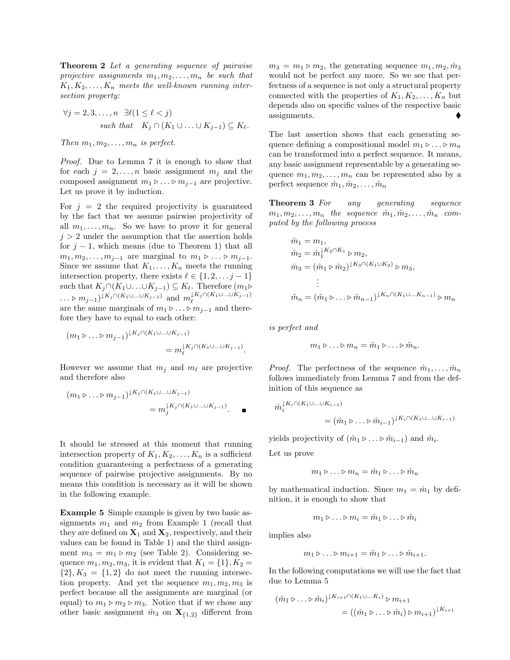**Theorem 2** Let a generating sequence of pairwise projective assignments  $m_1, m_2, \ldots, m_n$  be such that  $K_1, K_2, \ldots, K_n$  meets the well-known running intersection property:

$$
\forall j = 2, 3, \dots, n \quad \exists \ell (1 \le \ell < j)
$$
\n
$$
\text{such that} \quad K_j \cap (K_1 \cup \dots \cup K_{j-1}) \subseteq K_\ell.
$$

Then  $m_1, m_2, \ldots, m_n$  is perfect.

Proof. Due to Lemma 7 it is enough to show that for each  $j = 2, \ldots, n$  basic assignment  $m_j$  and the composed assignment  $m_1 \triangleright ... \triangleright m_{j-1}$  are projective. Let us prove it by induction.

For  $j = 2$  the required projectivity is guaranteed by the fact that we assume pairwise projectivity of all  $m_1, \ldots, m_n$ . So we have to prove it for general  $j > 2$  under the assumption that the assertion holds for  $j - 1$ , which means (due to Theorem 1) that all  $m_1, m_2, \ldots, m_{j-1}$  are marginal to  $m_1 \triangleright \ldots \triangleright m_{j-1}$ . Since we assume that  $K_1, \ldots, K_n$  meets the running intersection property, there exists  $\ell \in \{1, 2, \ldots, j - 1\}$ such that  $K_j \cap (K_1 \cup \ldots \cup K_{j-1}) \subseteq K_\ell$ . Therefore  $(m_1 \triangleright$ ... ⊳  $m_{j-1}$ )<sup>↓K<sub>j</sub>∩(K<sub>1</sub>∪...∪K<sub>j-1</sub>) and  $m_{\ell}^{\downarrow K_j \cap (K_1 \cup ... \cup K_{j-1})}$ </sup> are the same marginals of  $m_1 \triangleright ... \triangleright m_{i-1}$  and therefore they have to equal to each other:

$$
(m_1 \triangleright \ldots \triangleright m_{j-1})^{\downarrow K_j \cap (K_1 \cup \ldots \cup K_{j-1})}
$$
  
= 
$$
m_{\ell}^{\downarrow K_j \cap (K_1 \cup \ldots \cup K_{j-1})}.
$$

However we assume that  $m_i$  and  $m_\ell$  are projective and therefore also

$$
(m_1 \triangleright \ldots \triangleright m_{j-1})^{\downarrow K_j \cap (K_1 \cup \ldots \cup K_{j-1})}
$$
  
= 
$$
m_j^{\downarrow K_j \cap (K_1 \cup \ldots \cup K_{j-1})}.
$$

It should be stressed at this moment that running intersection property of  $K_1, K_2, \ldots, K_n$  is a sufficient condition guaranteeing a perfectness of a generating sequence of pairwise projective assignments. By no means this condition is necessary as it will be shown in the following example.

Example 5 Simple example is given by two basic assignments  $m_1$  and  $m_2$  from Example 1 (recall that they are defined on  $X_1$  and  $X_2$ , respectively, and their values can be found in Table 1) and the third assignment  $m_3 = m_1 \triangleright m_2$  (see Table 2). Considering sequence  $m_1, m_2, m_3$ , it is evident that  $K_1 = \{1\}, K_2 =$  $\{2\}, K_3 = \{1, 2\}$  do not meet the running intersection property. And yet the sequence  $m_1, m_2, m_3$  is perfect because all the assignments are marginal (or equal) to  $m_1 \triangleright m_2 \triangleright m_3$ . Notice that if we chose any other basic assignment  $\hat{m}_3$  on  $\mathbf{X}_{\{1,2\}}$  different from  $m_3 = m_1 \triangleright m_2$ , the generating sequence  $m_1, m_2, \hat{m}_3$ would not be perfect any more. So we see that perfectness of a sequence is not only a structural property connected with the properties of  $K_1, K_2, \ldots, K_n$  but depends also on specific values of the respective basic assignments.

The last assertion shows that each generating sequence defining a compositional model  $m_1 \triangleright ... \triangleright m_n$ can be transformed into a perfect sequence. It means, any basic assignment representable by a generating sequence  $m_1, m_2, \ldots, m_n$  can be represented also by a perfect sequence  $\hat{m}_1, \hat{m}_2, \dots, \hat{m}_n$ 

**Theorem 3** For any generating sequence  $m_1, m_2, \ldots, m_n$  the sequence  $\hat{m}_1, \hat{m}_2, \ldots, \hat{m}_n$  computed by the following process

$$
\hat{m}_1 = m_1, \n\hat{m}_2 = \hat{m}_1^{[K_2 \cap K_1]} \triangleright m_2, \n\hat{m}_3 = (\hat{m}_1 \triangleright \hat{m}_2)^{[K_3 \cap (K_1 \cup K_2)} \triangleright m_3, \n\vdots \n\hat{m}_n = (\hat{m}_1 \triangleright \dots \triangleright \hat{m}_{n-1})^{[K_n \cap (K_1 \cup \dots K_{n-1})]} \triangleright m_n
$$

is perfect and

$$
m_1 \triangleright \ldots \triangleright m_n = \hat{m}_1 \triangleright \ldots \triangleright \hat{m}_n.
$$

*Proof.* The perfectness of the sequence  $\hat{m}_1, \ldots, \hat{m}_n$ follows immediately from Lemma 7 and from the definition of this sequence as

$$
\hat{m}_i^{\downarrow K_i \cap (K_1 \cup \ldots \cup K_{i-1})} = (\hat{m}_1 \triangleright \ldots \triangleright \hat{m}_{i-1})^{\downarrow K_i \cap (K_1 \cup \ldots \cup K_{i-1})}
$$

yields projectivity of  $(\hat{m}_1 \triangleright ... \triangleright \hat{m}_{i-1})$  and  $\hat{m}_i$ .

Let us prove

$$
m_1 \triangleright \ldots \triangleright m_n = \hat{m}_1 \triangleright \ldots \triangleright \hat{m}_n
$$

by mathematical induction. Since  $m_1 = \hat{m}_1$  by definition, it is enough to show that

$$
m_1 \triangleright \ldots \triangleright m_i = \hat{m}_1 \triangleright \ldots \triangleright \hat{m}_i
$$

implies also

$$
m_1 \triangleright \ldots \triangleright m_{i+1} = \hat{m}_1 \triangleright \ldots \triangleright \hat{m}_{i+1}.
$$

In the following computations we will use the fact that due to Lemma 5

$$
(\hat{m}_1 \triangleright \ldots \triangleright \hat{m}_i)^{\downarrow K_{i+1} \cap (K_1 \cup \ldots K_i)} \triangleright m_{i+1}
$$
  
= 
$$
((\hat{m}_1 \triangleright \ldots \triangleright \hat{m}_i) \triangleright m_{i+1})^{\downarrow K_{i+1}}
$$